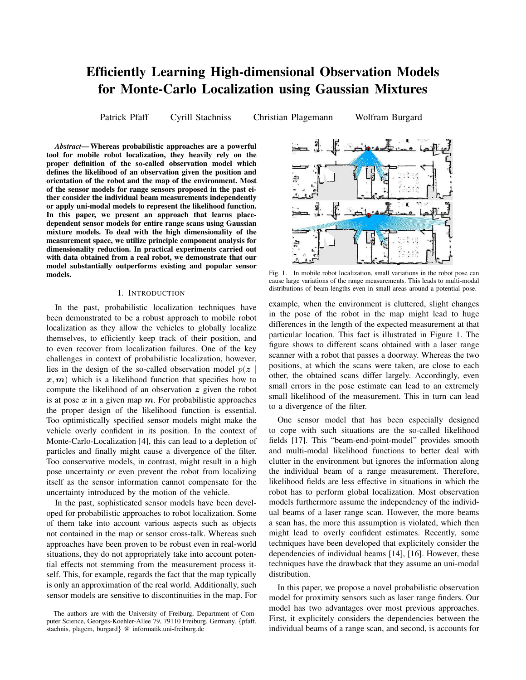# **Efficiently Learning High-dimensional Observation Models for Monte-Carlo Localization using Gaussian Mixtures**

Patrick Pfaff Cyrill Stachniss Christian Plagemann Wolfram Burgard

*Abstract***—Whereas probabilistic approaches are a powerful tool for mobile robot localization, they heavily rely on the proper definition of the so-called observation model which defines the likelihood of an observation given the position and orientation of the robot and the map of the environment. Most of the sensor models for range sensors proposed in the past either consider the individual beam measurements independently or apply uni-modal models to represent the likelihood function. In this paper, we present an approach that learns placedependent sensor models for entire range scans using Gaussian mixture models. To deal with the high dimensionality of the measurement space, we utilize principle component analysis for dimensionality reduction. In practical experiments carried out with data obtained from a real robot, we demonstrate that our model substantially outperforms existing and popular sensor models.**

## I. INTRODUCTION

In the past, probabilistic localization techniques have been demonstrated to be a robust approach to mobile robot localization as they allow the vehicles to globally localize themselves, to efficiently keep track of their position, and to even recover from localization failures. One of the key challenges in context of probabilistic localization, however, lies in the design of the so-called observation model  $p(z)$  $x, m$ ) which is a likelihood function that specifies how to compute the likelihood of an observation  $z$  given the robot is at pose  $x$  in a given map  $m$ . For probabilistic approaches the proper design of the likelihood function is essential. Too optimistically specified sensor models might make the vehicle overly confident in its position. In the context of Monte-Carlo-Localization [4], this can lead to a depletion of particles and finally might cause a divergence of the filter. Too conservative models, in contrast, might result in a high pose uncertainty or even prevent the robot from localizing itself as the sensor information cannot compensate for the uncertainty introduced by the motion of the vehicle.

In the past, sophisticated sensor models have been developed for probabilistic approaches to robot localization. Some of them take into account various aspects such as objects not contained in the map or sensor cross-talk. Whereas such approaches have been proven to be robust even in real-world situations, they do not appropriately take into account potential effects not stemming from the measurement process itself. This, for example, regards the fact that the map typically is only an approximation of the real world. Additionally, such sensor models are sensitive to discontinuities in the map. For



Fig. 1. In mobile robot localization, small variations in the robot pose can cause large variations of the range measurements. This leads to multi-modal distributions of beam-lengths even in small areas around a potential pose.

example, when the environment is cluttered, slight changes in the pose of the robot in the map might lead to huge differences in the length of the expected measurement at that particular location. This fact is illustrated in Figure 1. The figure shows to different scans obtained with a laser range scanner with a robot that passes a doorway. Whereas the two positions, at which the scans were taken, are close to each other, the obtained scans differ largely. Accordingly, even small errors in the pose estimate can lead to an extremely small likelihood of the measurement. This in turn can lead to a divergence of the filter.

One sensor model that has been especially designed to cope with such situations are the so-called likelihood fields [17]. This "beam-end-point-model" provides smooth and multi-modal likelihood functions to better deal with clutter in the environment but ignores the information along the individual beam of a range measurement. Therefore, likelihood fields are less effective in situations in which the robot has to perform global localization. Most observation models furthermore assume the independency of the individual beams of a laser range scan. However, the more beams a scan has, the more this assumption is violated, which then might lead to overly confident estimates. Recently, some techniques have been developed that explicitely consider the dependencies of individual beams [14], [16]. However, these techniques have the drawback that they assume an uni-modal distribution.

In this paper, we propose a novel probabilistic observation model for proximity sensors such as laser range finders. Our model has two advantages over most previous approaches. First, it explicitely considers the dependencies between the individual beams of a range scan, and second, is accounts for

The authors are with the University of Freiburg, Department of Computer Science, Georges-Koehler-Allee 79, 79110 Freiburg, Germany. {pfaff, stachnis, plagem, burgard} @ informatik.uni-freiburg.de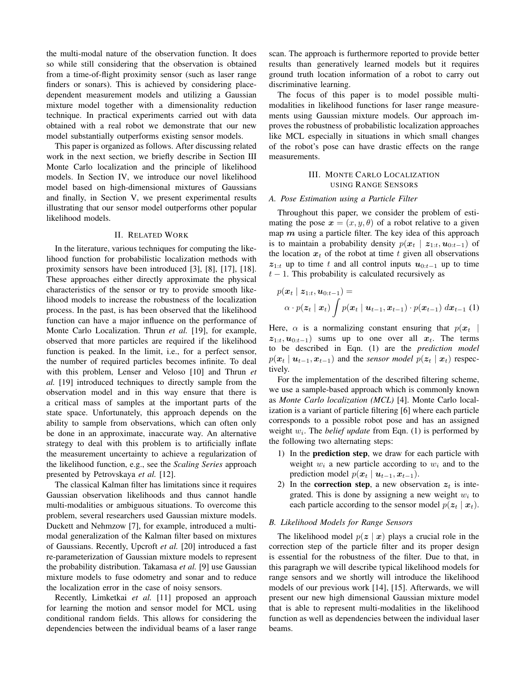the multi-modal nature of the observation function. It does so while still considering that the observation is obtained from a time-of-flight proximity sensor (such as laser range finders or sonars). This is achieved by considering placedependent measurement models and utilizing a Gaussian mixture model together with a dimensionality reduction technique. In practical experiments carried out with data obtained with a real robot we demonstrate that our new model substantially outperforms existing sensor models.

This paper is organized as follows. After discussing related work in the next section, we briefly describe in Section III Monte Carlo localization and the principle of likelihood models. In Section IV, we introduce our novel likelihood model based on high-dimensional mixtures of Gaussians and finally, in Section V, we present experimental results illustrating that our sensor model outperforms other popular likelihood models.

#### II. RELATED WORK

In the literature, various techniques for computing the likelihood function for probabilistic localization methods with proximity sensors have been introduced [3], [8], [17], [18]. These approaches either directly approximate the physical characteristics of the sensor or try to provide smooth likelihood models to increase the robustness of the localization process. In the past, is has been observed that the likelihood function can have a major influence on the performance of Monte Carlo Localization. Thrun *et al.* [19], for example, observed that more particles are required if the likelihood function is peaked. In the limit, i.e., for a perfect sensor, the number of required particles becomes infinite. To deal with this problem, Lenser and Veloso [10] and Thrun *et al.* [19] introduced techniques to directly sample from the observation model and in this way ensure that there is a critical mass of samples at the important parts of the state space. Unfortunately, this approach depends on the ability to sample from observations, which can often only be done in an approximate, inaccurate way. An alternative strategy to deal with this problem is to artificially inflate the measurement uncertainty to achieve a regularization of the likelihood function, e.g., see the *Scaling Series* approach presented by Petrovskaya *et al.* [12].

The classical Kalman filter has limitations since it requires Gaussian observation likelihoods and thus cannot handle multi-modalities or ambiguous situations. To overcome this problem, several researchers used Gaussian mixture models. Duckett and Nehmzow [7], for example, introduced a multimodal generalization of the Kalman filter based on mixtures of Gaussians. Recently, Upcroft *et al.* [20] introduced a fast re-parameterization of Gaussian mixture models to represent the probability distribution. Takamasa *et al.* [9] use Gaussian mixture models to fuse odometry and sonar and to reduce the localization error in the case of noisy sensors.

Recently, Limketkai *et al.* [11] proposed an approach for learning the motion and sensor model for MCL using conditional random fields. This allows for considering the dependencies between the individual beams of a laser range scan. The approach is furthermore reported to provide better results than generatively learned models but it requires ground truth location information of a robot to carry out discriminative learning.

The focus of this paper is to model possible multimodalities in likelihood functions for laser range measurements using Gaussian mixture models. Our approach improves the robustness of probabilistic localization approaches like MCL especially in situations in which small changes of the robot's pose can have drastic effects on the range measurements.

# III. MONTE CARLO LOCALIZATION USING RANGE SENSORS

#### *A. Pose Estimation using a Particle Filter*

Throughout this paper, we consider the problem of estimating the pose  $x = (x, y, \theta)$  of a robot relative to a given map  $m$  using a particle filter. The key idea of this approach is to maintain a probability density  $p(x_t | z_{1:t}, u_{0:t-1})$  of the location  $x_t$  of the robot at time t given all observations  $z_{1:t}$  up to time t and all control inputs  $u_{0:t-1}$  up to time  $t - 1$ . This probability is calculated recursively as

$$
p(\boldsymbol{x}_t | \boldsymbol{z}_{1:t}, \boldsymbol{u}_{0:t-1}) =
$$
  
 
$$
\alpha \cdot p(\boldsymbol{z}_t | \boldsymbol{x}_t) \int p(\boldsymbol{x}_t | \boldsymbol{u}_{t-1}, \boldsymbol{x}_{t-1}) \cdot p(\boldsymbol{x}_{t-1}) d\boldsymbol{x}_{t-1} (1)
$$

Here,  $\alpha$  is a normalizing constant ensuring that  $p(x_t)$  $z_{1:t}, u_{0:t-1}$ ) sums up to one over all  $x_t$ . The terms to be described in Eqn. (1) are the *prediction model*  $p(x_t | u_{t-1}, x_{t-1})$  and the *sensor model*  $p(z_t | x_t)$  respectively.

For the implementation of the described filtering scheme, we use a sample-based approach which is commonly known as *Monte Carlo localization (MCL)* [4]. Monte Carlo localization is a variant of particle filtering [6] where each particle corresponds to a possible robot pose and has an assigned weight  $w_i$ . The *belief update* from Eqn. (1) is performed by the following two alternating steps:

- 1) In the **prediction step**, we draw for each particle with weight  $w_i$  a new particle according to  $w_i$  and to the prediction model  $p(x_t | u_{t-1}, x_{t-1})$ .
- 2) In the **correction step**, a new observation  $z_t$  is integrated. This is done by assigning a new weight  $w_i$  to each particle according to the sensor model  $p(z_t | x_t)$ .

#### *B. Likelihood Models for Range Sensors*

The likelihood model  $p(z | x)$  plays a crucial role in the correction step of the particle filter and its proper design is essential for the robustness of the filter. Due to that, in this paragraph we will describe typical likelihood models for range sensors and we shortly will introduce the likelihood models of our previous work [14], [15]. Afterwards, we will present our new high dimensional Gaussian mixture model that is able to represent multi-modalities in the likelihood function as well as dependencies between the individual laser beams.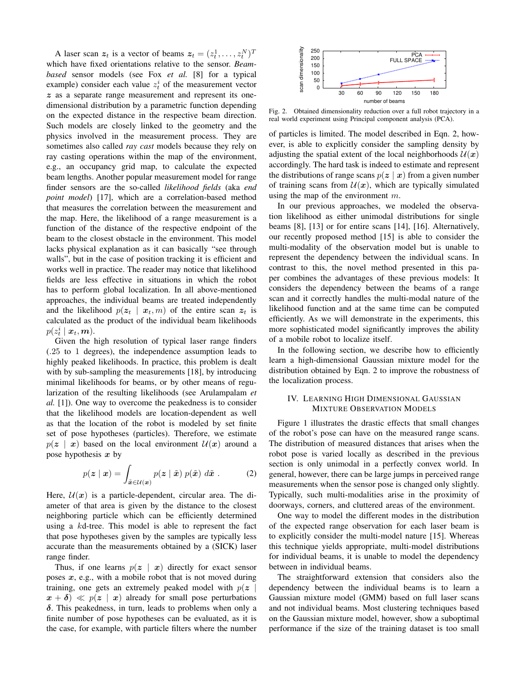A laser scan  $z_t$  is a vector of beams  $z_t = (z_t^1, \dots, z_t^N)^T$ which have fixed orientations relative to the sensor. *Beambased* sensor models (see Fox *et al.* [8] for a typical example) consider each value  $z_t^i$  of the measurement vector z as a separate range measurement and represent its onedimensional distribution by a parametric function depending on the expected distance in the respective beam direction. Such models are closely linked to the geometry and the physics involved in the measurement process. They are sometimes also called *ray cast* models because they rely on ray casting operations within the map of the environment, e.g., an occupancy grid map, to calculate the expected beam lengths. Another popular measurement model for range finder sensors are the so-called *likelihood fields* (aka *end point model*) [17], which are a correlation-based method that measures the correlation between the measurement and the map. Here, the likelihood of a range measurement is a function of the distance of the respective endpoint of the beam to the closest obstacle in the environment. This model lacks physical explanation as it can basically "see through walls", but in the case of position tracking it is efficient and works well in practice. The reader may notice that likelihood fields are less effective in situations in which the robot has to perform global localization. In all above-mentioned approaches, the individual beams are treated independently and the likelihood  $p(z_t | x_t, m)$  of the entire scan  $z_t$  is calculated as the product of the individual beam likelihoods  $p(z_t^i \mid \boldsymbol{x}_t, \boldsymbol{m}).$ 

Given the high resolution of typical laser range finders (.25 to 1 degrees), the independence assumption leads to highly peaked likelihoods. In practice, this problem is dealt with by sub-sampling the measurements [18], by introducing minimal likelihoods for beams, or by other means of regularization of the resulting likelihoods (see Arulampalam *et al.* [1]). One way to overcome the peakedness is to consider that the likelihood models are location-dependent as well as that the location of the robot is modeled by set finite set of pose hypotheses (particles). Therefore, we estimate  $p(z \mid x)$  based on the local environment  $\mathcal{U}(x)$  around a pose hypothesis  $x$  by

$$
p(\boldsymbol{z} \mid \boldsymbol{x}) = \int_{\tilde{\boldsymbol{x}} \in \mathcal{U}(\boldsymbol{x})} p(\boldsymbol{z} \mid \tilde{\boldsymbol{x}}) p(\tilde{\boldsymbol{x}}) d\tilde{\boldsymbol{x}} . \tag{2}
$$

Here,  $\mathcal{U}(x)$  is a particle-dependent, circular area. The diameter of that area is given by the distance to the closest neighboring particle which can be efficiently determined using a kd-tree. This model is able to represent the fact that pose hypotheses given by the samples are typically less accurate than the measurements obtained by a (SICK) laser range finder.

Thus, if one learns  $p(z \mid x)$  directly for exact sensor poses  $x$ , e.g., with a mobile robot that is not moved during training, one gets an extremely peaked model with  $p(z)$  $x + \delta$   $\ll p(z \mid x)$  already for small pose perturbations δ. This peakedness, in turn, leads to problems when only a finite number of pose hypotheses can be evaluated, as it is the case, for example, with particle filters where the number



Fig. 2. Obtained dimensionality reduction over a full robot trajectory in a real world experiment using Principal component analysis (PCA).

of particles is limited. The model described in Eqn. 2, however, is able to explicitly consider the sampling density by adjusting the spatial extent of the local neighborhoods  $\mathcal{U}(x)$ accordingly. The hard task is indeed to estimate and represent the distributions of range scans  $p(z | x)$  from a given number of training scans from  $U(x)$ , which are typically simulated using the map of the environment  $m$ .

In our previous approaches, we modeled the observation likelihood as either unimodal distributions for single beams [8], [13] or for entire scans [14], [16]. Alternatively, our recently proposed method [15] is able to consider the multi-modality of the observation model but is unable to represent the dependency between the individual scans. In contrast to this, the novel method presented in this paper combines the advantages of these previous models: It considers the dependency between the beams of a range scan and it correctly handles the multi-modal nature of the likelihood function and at the same time can be computed efficiently. As we will demonstrate in the experiments, this more sophisticated model significantly improves the ability of a mobile robot to localize itself.

In the following section, we describe how to efficiently learn a high-dimensional Gaussian mixture model for the distribution obtained by Eqn. 2 to improve the robustness of the localization process.

## IV. LEARNING HIGH DIMENSIONAL GAUSSIAN MIXTURE OBSERVATION MODELS

Figure 1 illustrates the drastic effects that small changes of the robot's pose can have on the measured range scans. The distribution of measured distances that arises when the robot pose is varied locally as described in the previous section is only unimodal in a perfectly convex world. In general, however, there can be large jumps in perceived range measurements when the sensor pose is changed only slightly. Typically, such multi-modalities arise in the proximity of doorways, corners, and cluttered areas of the environment.

One way to model the different modes in the distribution of the expected range observation for each laser beam is to explicitly consider the multi-model nature [15]. Whereas this technique yields appropriate, multi-model distributions for individual beams, it is unable to model the dependency between in individual beams.

The straightforward extension that considers also the dependency between the individual beams is to learn a Gaussian mixture model (GMM) based on full laser scans and not individual beams. Most clustering techniques based on the Gaussian mixture model, however, show a suboptimal performance if the size of the training dataset is too small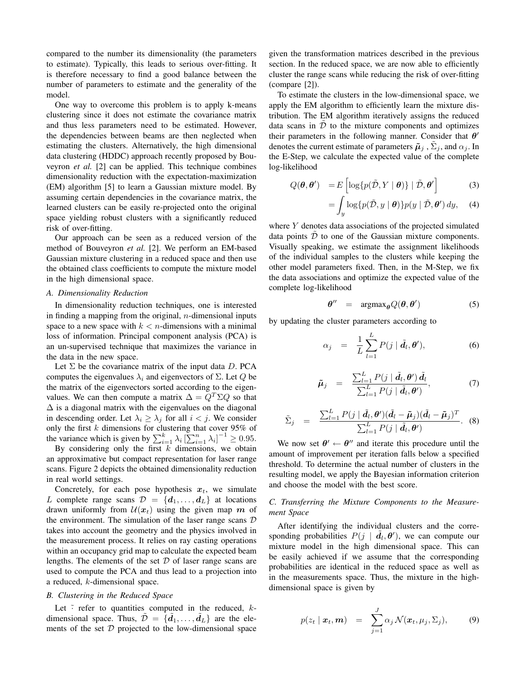compared to the number its dimensionality (the parameters to estimate). Typically, this leads to serious over-fitting. It is therefore necessary to find a good balance between the number of parameters to estimate and the generality of the model.

One way to overcome this problem is to apply k-means clustering since it does not estimate the covariance matrix and thus less parameters need to be estimated. However, the dependencies between beams are then neglected when estimating the clusters. Alternatively, the high dimensional data clustering (HDDC) approach recently proposed by Bouveyron *et al.* [2] can be applied. This technique combines dimensionality reduction with the expectation-maximization (EM) algorithm [5] to learn a Gaussian mixture model. By assuming certain dependencies in the covariance matrix, the learned clusters can be easily re-projected onto the original space yielding robust clusters with a significantly reduced risk of over-fitting.

Our approach can be seen as a reduced version of the method of Bouveyron *et al.* [2]. We perform an EM-based Gaussian mixture clustering in a reduced space and then use the obtained class coefficients to compute the mixture model in the high dimensional space.

### *A. Dimensionality Reduction*

In dimensionality reduction techniques, one is interested in finding a mapping from the original,  $n$ -dimensional inputs space to a new space with  $k < n$ -dimensions with a minimal loss of information. Principal component analysis (PCA) is an un-supervised technique that maximizes the variance in the data in the new space.

Let  $\Sigma$  be the covariance matrix of the input data D. PCA computes the eigenvalues  $\lambda_i$  and eigenvectors of  $\Sigma$ . Let  $Q$  be the matrix of the eigenvectors sorted according to the eigenvalues. We can then compute a matrix  $\Delta = Q^T \Sigma Q$  so that  $\Delta$  is a diagonal matrix with the eigenvalues on the diagonal in descending order. Let  $\lambda_i \geq \lambda_j$  for all  $i < j$ . We consider only the first k dimensions for clustering that cover 95% of the variance which is given by  $\sum_{i=1}^{k} \lambda_i \left[ \sum_{i=1}^{n} \lambda_i \right]^{-1} \ge 0.95$ .

By considering only the first  $k$  dimensions, we obtain an approximative but compact representation for laser range scans. Figure 2 depicts the obtained dimensionality reduction in real world settings.

Concretely, for each pose hypothesis  $x_t$ , we simulate L complete range scans  $\mathcal{D} = \{d_1, \ldots, d_L\}$  at locations drawn uniformly from  $\mathcal{U}(x_t)$  using the given map m of the environment. The simulation of the laser range scans  $D$ takes into account the geometry and the physics involved in the measurement process. It relies on ray casting operations within an occupancy grid map to calculate the expected beam lengths. The elements of the set  $D$  of laser range scans are used to compute the PCA and thus lead to a projection into a reduced, k-dimensional space.

## *B. Clustering in the Reduced Space*

Let  $\tilde{\cdot}$  refer to quantities computed in the reduced,  $k$ dimensional space. Thus,  $\tilde{\mathcal{D}} = \{\tilde{d}_1, \ldots, \tilde{d}_L\}$  are the elements of the set  $D$  projected to the low-dimensional space given the transformation matrices described in the previous section. In the reduced space, we are now able to efficiently cluster the range scans while reducing the risk of over-fitting (compare [2]).

To estimate the clusters in the low-dimensional space, we apply the EM algorithm to efficiently learn the mixture distribution. The EM algorithm iteratively assigns the reduced data scans in  $D$  to the mixture components and optimizes their parameters in the following manner. Consider that  $\theta'$ denotes the current estimate of parameters  $\tilde{\mu}_j$  ,  $\tilde{\Sigma}_j$ , and  $\alpha_j$ . In the E-Step, we calculate the expected value of the complete log-likelihood

$$
Q(\boldsymbol{\theta}, \boldsymbol{\theta}') = E\left[\log\{p(\tilde{\mathcal{D}}, Y \mid \boldsymbol{\theta})\} \mid \tilde{\mathcal{D}}, \boldsymbol{\theta}'\right]
$$
(3)

$$
= \int_{y} \log\{p(\tilde{\mathcal{D}}, y \mid \boldsymbol{\theta})\} p(y \mid \tilde{\mathcal{D}}, \boldsymbol{\theta}') \, dy,\quad (4)
$$

where Y denotes data associations of the projected simulated data points  $\tilde{\mathcal{D}}$  to one of the Gaussian mixture components. Visually speaking, we estimate the assignment likelihoods of the individual samples to the clusters while keeping the other model parameters fixed. Then, in the M-Step, we fix the data associations and optimize the expected value of the complete log-likelihood

$$
\theta'' = \text{argmax}_{\theta} Q(\theta, \theta') \tag{5}
$$

by updating the cluster parameters according to

$$
\alpha_j = \frac{1}{L} \sum_{l=1}^{L} P(j \mid \tilde{d}_l, \theta'), \qquad (6)
$$

$$
\tilde{\boldsymbol{\mu}}_{j} = \frac{\sum_{l=1}^{L} P(j \mid \tilde{\boldsymbol{d}}_{l}, \boldsymbol{\theta}') \, \tilde{\boldsymbol{d}}_{l}}{\sum_{l=1}^{L} P(j \mid \tilde{\boldsymbol{d}}_{l}, \boldsymbol{\theta}')}, \qquad (7)
$$

$$
\tilde{\Sigma}_j = \frac{\sum_{l=1}^L P(j \mid \tilde{d}_l, \theta') (\tilde{d}_l - \tilde{\mu}_j) (\tilde{d}_l - \tilde{\mu}_j)^T}{\sum_{l=1}^L P(j \mid \tilde{d}_l, \theta')}.
$$
 (8)

We now set  $\theta' \leftarrow \theta''$  and iterate this procedure until the amount of improvement per iteration falls below a specified threshold. To determine the actual number of clusters in the resulting model, we apply the Bayesian information criterion and choose the model with the best score.

# *C. Transferring the Mixture Components to the Measurement Space*

After identifying the individual clusters and the corresponding probabilities  $P(j | \tilde{d}_l, \theta')$ , we can compute our mixture model in the high dimensional space. This can be easily achieved if we assume that the corresponding probabilities are identical in the reduced space as well as in the measurements space. Thus, the mixture in the highdimensional space is given by

$$
p(z_t | \mathbf{x}_t, \mathbf{m}) = \sum_{j=1}^J \alpha_j \mathcal{N}(\mathbf{x}_t, \mu_j, \Sigma_j), \qquad (9)
$$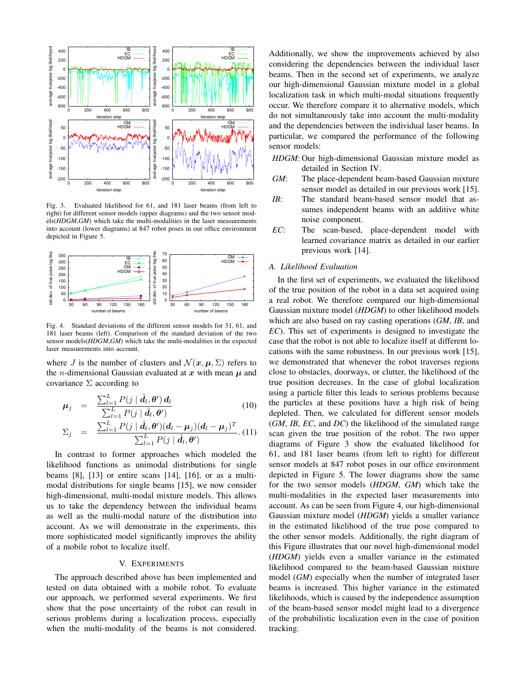

Fig. 3. Evaluated likelihood for 61, and 181 laser beams (from left to right) for different sensor models (upper diagrams) and the two sensor models(*HDGM*,*GM*) which take the multi-modalities in the laser measurements into account (lower diagrams) at 847 robot poses in our office environment depicted in Figure 5.



Fig. 4. Standard deviations of the different sensor models for 31, 61, and 181 laser beams (left). Comparison of the standard deviation of the two sensor models(*HDGM*,*GM*) which take the multi-modalities in the expected laser measurements into account.

where J is the number of clusters and  $\mathcal{N}(x, \mu, \Sigma)$  refers to the *n*-dimensional Gaussian evaluated at  $x$  with mean  $\mu$  and covariance  $\Sigma$  according to

$$
\mu_j = \frac{\sum_{l=1}^L P(j \mid \tilde{d}_l, \theta') d_l}{\sum_{l=1}^L P(j \mid \tilde{d}_l, \theta')}\n \tag{10}
$$

$$
\Sigma_j = \frac{\sum_{l=1}^L P(j \mid \tilde{d}_l, \theta') (d_l - \mu_j) (d_l - \mu_j)^T}{\sum_{l=1}^L P(j \mid \tilde{d}_l, \theta')}. (11)
$$

In contrast to former approaches which modeled the likelihood functions as unimodal distributions for single beams  $[8]$ ,  $[13]$  or entire scans  $[14]$ ,  $[16]$ , or as a multimodal distributions for single beams [15], we now consider high-dimensional, multi-modal mixture models. This allows us to take the dependency between the individual beams as well as the multi-modal nature of the distribution into account. As we will demonstrate in the experiments, this more sophisticated model significantly improves the ability of a mobile robot to localize itself.

#### V. EXPERIMENTS

The approach described above has been implemented and tested on data obtained with a mobile robot. To evaluate our approach, we performed several experiments. We first show that the pose uncertainty of the robot can result in serious problems during a localization process, especially when the multi-modality of the beams is not considered.

Additionally, we show the improvements achieved by also considering the dependencies between the individual laser beams. Then in the second set of experiments, we analyze our high-dimensional Gaussian mixture model in a global localization task in which multi-modal situations frequently occur. We therefore compare it to alternative models, which do not simultaneously take into account the multi-modality and the dependencies between the individual laser beams. In particular, we compared the performance of the following sensor models:

- *HDGM*: Our high-dimensional Gaussian mixture model as detailed in Section IV.
- *GM*: The place-dependent beam-based Gaussian mixture sensor model as detailed in our previous work [15].
- *IB*: The standard beam-based sensor model that assumes independent beams with an additive white noise component.
- *EC*: The scan-based, place-dependent model with learned covariance matrix as detailed in our earlier previous work [14].

#### *A. Likelihood Evaluation*

In the first set of experiments, we evaluated the likelihood of the true position of the robot in a data set acquired using a real robot. We therefore compared our high-dimensional Gaussian mixture model (*HDGM*) to other likelihood models which are also based on ray casting operations (*GM*, *IB*, and *EC*). This set of experiments is designed to investigate the case that the robot is not able to localize itself at different locations with the same robustness. In our previous work [15], we demonstrated that whenever the robot traverses regions close to obstacles, doorways, or clutter, the likelihood of the true position decreases. In the case of global localization using a particle filter this leads to serious problems because the particles at these positions have a high risk of being depleted. Then, we calculated for different sensor models (*GM*, *IB*, *EC*, and *DC*) the likelihood of the simulated range scan given the true position of the robot. The two upper diagrams of Figure 3 show the evaluated likelihood for 61, and 181 laser beams (from left to right) for different sensor models at 847 robot poses in our office environment depicted in Figure 5. The lower diagrams show the same for the two sensor models (*HDGM*, *GM*) which take the multi-modalities in the expected laser measurements into account. As can be seen from Figure 4, our high-dimensional Gaussian mixture model (*HDGM*) yields a smaller variance in the estimated likelihood of the true pose compared to the other sensor models. Additionally, the right diagram of this Figure illustrates that our novel high-dimensional model (*HDGM*) yields even a smaller variance in the estimated likelihood compared to the beam-based Gaussian mixture model (*GM*) especially when the number of integrated laser beams is increased. This higher variance in the estimated likelihoods, which is caused by the independence assumption of the beam-based sensor model might lead to a divergence of the probabilistic localization even in the case of position tracking.